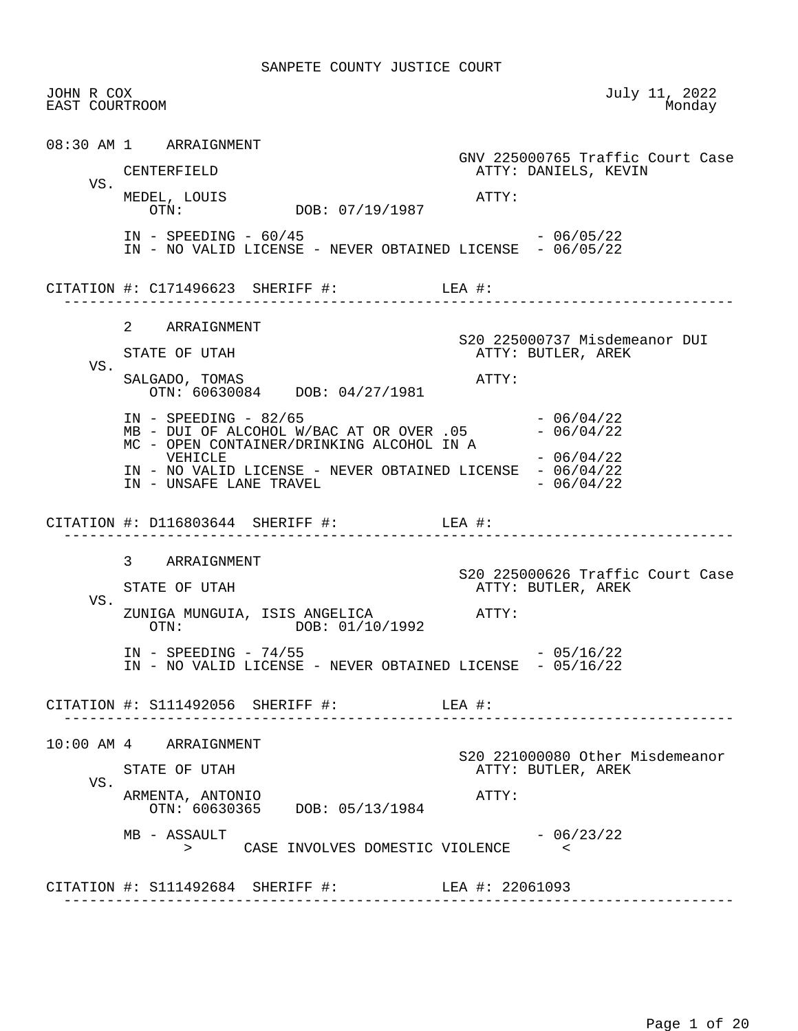JOHN R COX July 11, 2022 EAST COURTROOM 08:30 AM 1 ARRAIGNMENT GNV 225000765 Traffic Court Case ATTY: DANIELS, KEVIN VS. MEDEL, LOUIS ATTY: DOB: 07/19/1987 IN - SPEEDING - 60/45 - 2007 - 2007 - 2010 IN - NO VALID LICENSE - NEVER OBTAINED LICENSE - 06/05/22 CITATION #: C171496623 SHERIFF #: LEA #: ------------------------------------------------------------------------------ 2 ARRAIGNMENT S20 225000737 Misdemeanor DUI<br>STATE OF UTAH THE STATE AREK ATTY: BUTLER, AREK VS. SALGADO, TOMAS ATTY: OTN: 60630084 DOB: 04/27/1981 IN - SPEEDING - 82/65<br>MB - DUI OF ALCOHOL W/BAC AT OR OVER .05 - 06/04/22  $MB - DUI OF ALCOHOL W/BAC AT OR OVER .05 - 06/04/22$  MC - OPEN CONTAINER/DRINKING ALCOHOL IN A  $VEHICLE$   $-06/04/22$ IN - NO VALID LICENSE - NEVER OBTAINED LICENSE - 06/04/22<br>IN - UNSAFE LANE TRAVEL IN - UNSAFE LANE TRAVEL CITATION #: D116803644 SHERIFF #: LEA #: ------------------------------------------------------------------------------ 3 ARRAIGNMENT STATE OF UTAH SERVICE SOF STATE OF UTAH STATE OF UTAH ATTY: BUTLER, AREK VS. ZUNIGA MUNGUIA, ISIS ANGELICA ATTY: DOB: 01/10/1992  $IN - SPEEDING - 74/55$  - 05/16/22 IN - NO VALID LICENSE - NEVER OBTAINED LICENSE - 05/16/22 CITATION #: S111492056 SHERIFF #: LEA #: ------------------------------------------------------------------------------ 10:00 AM 4 ARRAIGNMENT S20 221000080 Other Misdemeanor ATTY: BUTLER, AREK VS. ARMENTA, ANTONIO ATTY: OTN: 60630365 DOB: 05/13/1984  $MB - ASSAULT$  - 06/23/22 > CASE INVOLVES DOMESTIC VIOLENCE < CITATION #: S111492684 SHERIFF #: LEA #: 22061093 ------------------------------------------------------------------------------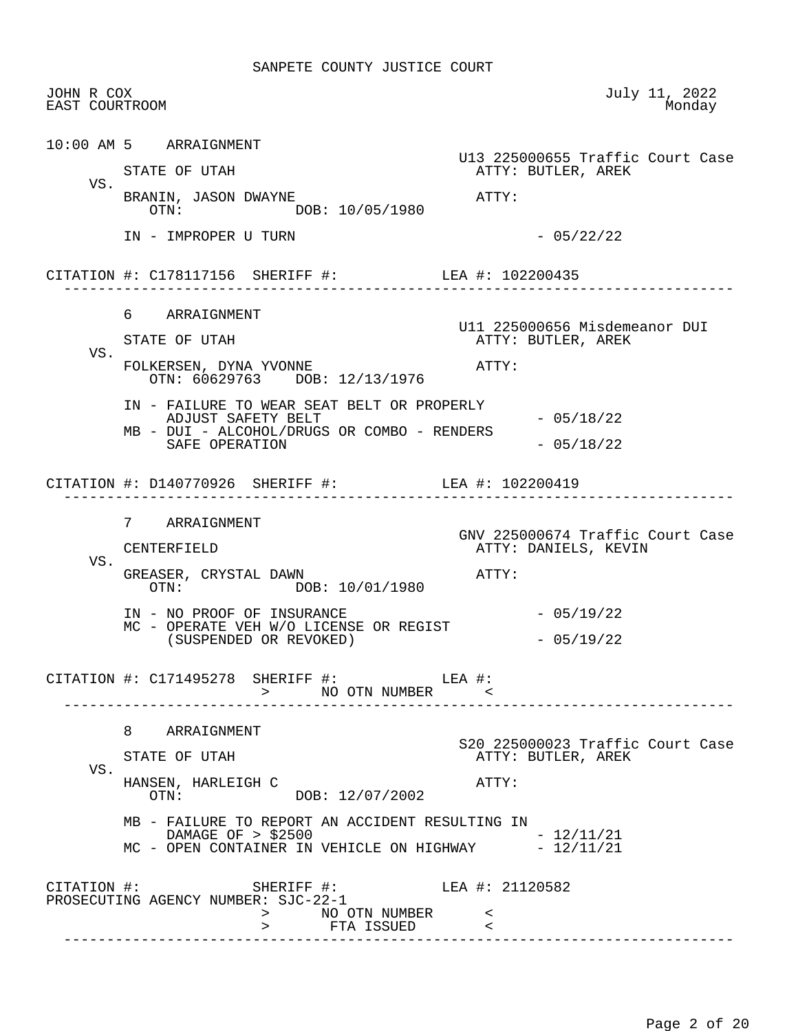| JOHN R COX<br>EAST COURTROOM |                                                                                                                                                                                                                                                                                                                                       | July 11, 2022<br>Monday                                           |
|------------------------------|---------------------------------------------------------------------------------------------------------------------------------------------------------------------------------------------------------------------------------------------------------------------------------------------------------------------------------------|-------------------------------------------------------------------|
|                              | 10:00 AM 5 ARRAIGNMENT<br>STATE OF UTAH                                                                                                                                                                                                                                                                                               | U13 225000655 Traffic Court Case<br>ATTY: BUTLER, AREK            |
| VS.                          | BRANIN, JASON DWAYNE<br>OTN: DOB: 10/05/1980                                                                                                                                                                                                                                                                                          | ATTY:                                                             |
|                              | IN - IMPROPER U TURN                                                                                                                                                                                                                                                                                                                  | $-05/22/22$                                                       |
|                              | CITATION #: C178117156 SHERIFF #: LEA #: 102200435                                                                                                                                                                                                                                                                                    |                                                                   |
|                              | 6 ARRAIGNMENT<br>STATE OF UTAH                                                                                                                                                                                                                                                                                                        | U11 225000656 Misdemeanor DUI<br>ATTY: BUTLER, AREK               |
| VS.                          | FOLKERSEN, DYNA YVONNE<br>OTN: 60629763 DOB: 12/13/1976                                                                                                                                                                                                                                                                               | ATTY:                                                             |
|                              | IN - FAILURE TO WEAR SEAT BELT OR PROPERLY<br>ADJUST SAFETY BELT<br>MB - DUI - ALCOHOL/DRUGS OR COMBO - RENDERS<br>SAFE OPERATION                                                                                                                                                                                                     | $-05/18/22$<br>$-05/18/22$                                        |
|                              | CITATION #: D140770926 SHERIFF #: LEA #: 102200419                                                                                                                                                                                                                                                                                    |                                                                   |
| VS.                          | 7 ARRAIGNMENT<br>CENTERFIELD<br>GREASER, CRYSTAL DAWN                                                                                                                                                                                                                                                                                 | GNV 225000674 Traffic Court Case<br>ATTY: DANIELS, KEVIN<br>ATTY: |
|                              | DOB: 10/01/1980<br>$\text{OTN}:$<br>IN - NO PROOF OF INSURANCE<br>MC - OPERATE VEH W/O LICENSE OR REGIST<br>(SUSPENDED OR REVOKED)                                                                                                                                                                                                    | $-05/19/22$<br>$-05/19/22$                                        |
|                              | CITATION #: C171495278 SHERIFF #: LEA #:<br>> NO OTN NUMBER                                                                                                                                                                                                                                                                           |                                                                   |
|                              | 8 ARRAIGNMENT<br>STATE OF UTAH                                                                                                                                                                                                                                                                                                        | S20 225000023 Traffic Court Case<br>ATTY: BUTLER, AREK            |
| VS.                          | HANSEN, HARLEIGH C<br>OTN: DOB: 12/07/2002                                                                                                                                                                                                                                                                                            | ATTY:                                                             |
|                              | MB - FAILURE TO REPORT AN ACCIDENT RESULTING IN<br>DAMAGE OF > \$2500<br>MC - OPEN CONTAINER IN VEHICLE ON HIGHWAY - 12/11/21                                                                                                                                                                                                         | $-12/11/21$                                                       |
|                              | $\begin{tabular}{lllllll} \multicolumn{2}{c}{\texttt{CITATION}} & \texttt{+}: & & \\ \multicolumn{2}{c}{\texttt{SHERIFF}} & \texttt{+}: & & \\ \multicolumn{2}{c}{\texttt{LEA}} & \texttt{+}: & \texttt{21120582} \\ \multicolumn{2}{c}{\texttt{PROSECUTING}} & \texttt{AGENCY} & \texttt{NUMBER}: & \texttt{SJC-22-1} \end{tabular}$ |                                                                   |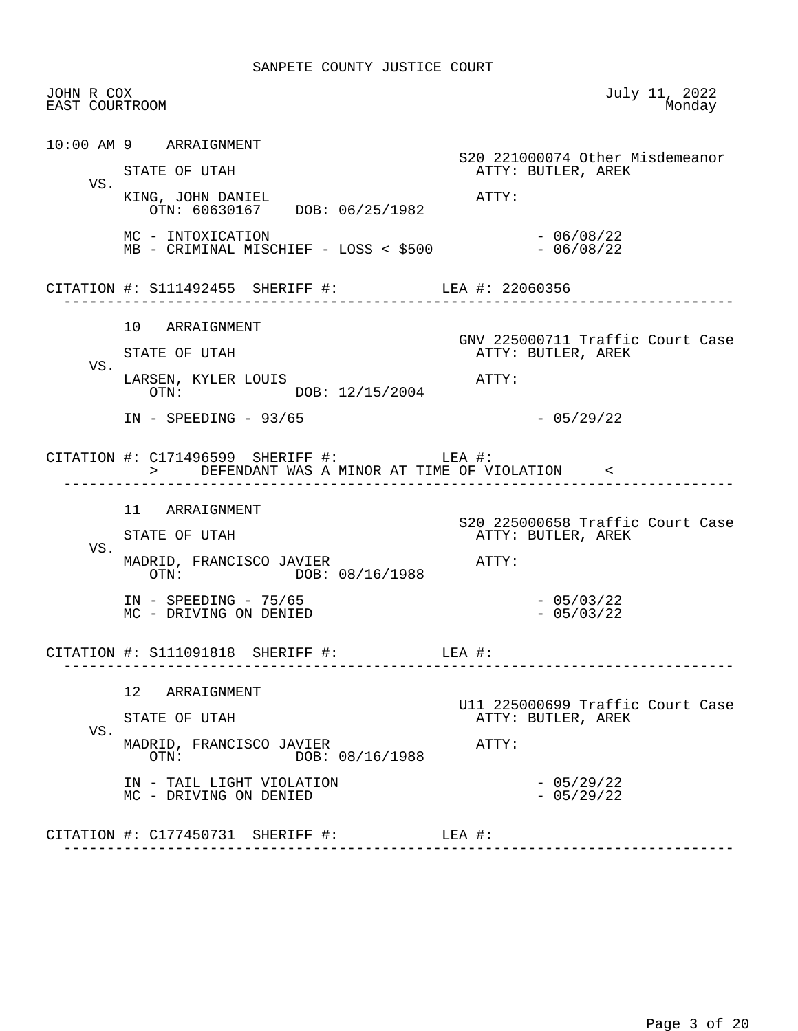| JOHN R COX<br>EAST COURTROOM |                                                                                              | July 11, 2022<br>Monday                                |
|------------------------------|----------------------------------------------------------------------------------------------|--------------------------------------------------------|
|                              | 10:00 AM 9 ARRAIGNMENT<br>STATE OF UTAH                                                      | S20 221000074 Other Misdemeanor<br>ATTY: BUTLER, AREK  |
| VS.                          | KING, JOHN DANIEL<br>OTN: 60630167 DOB: 06/25/1982                                           | ATTY:                                                  |
|                              | MC - INTOXICATION                                                                            | $-06/08/22$                                            |
|                              | CITATION #: S111492455 SHERIFF #: LEA #: 22060356                                            |                                                        |
| VS.                          | 10 ARRAIGNMENT<br>STATE OF UTAH                                                              | GNV 225000711 Traffic Court Case<br>ATTY: BUTLER, AREK |
|                              | LARSEN, KYLER LOUIS<br>OTN: DOB: 12/15/2004                                                  | ATTY:                                                  |
|                              | $IN - SPEEDING - 93/65$                                                                      | $-05/29/22$                                            |
|                              | CITATION #: $C171496599$ SHERIFF #: LEA #:<br>> DEFENDANT WAS A MINOR AT TIME OF VIOLATION < |                                                        |
|                              | 11 ARRAIGNMENT                                                                               | S20 225000658 Traffic Court Case                       |
| VS.                          | STATE OF UTAH<br>MADRID, FRANCISCO JAVIER                                                    | ATTY: BUTLER, AREK<br>ATTY:                            |
|                              | $OTN$ :<br>DOB: 08/16/1988<br>$IN - SPEEDING - 75/65$<br>MC - DRIVING ON DENIED              | $-05/03/22$<br>$-05/03/22$                             |
|                              | CITATION #: $\text{S111091818}$ SHERIFF #: LEA #:                                            | --------------------------                             |
|                              | 12 ARRAIGNMENT<br>STATE OF UTAH                                                              | U11 225000699 Traffic Court Case<br>ATTY: BUTLER, AREK |
| VS.                          | MADRID, FRANCISCO JAVIER<br>DOB: 08/16/1988<br>OTN:                                          | ATTY:                                                  |
|                              | IN - TAIL LIGHT VIOLATION<br>MC - DRIVING ON DENIED                                          | $-05/29/22$<br>$-05/29/22$                             |
|                              |                                                                                              |                                                        |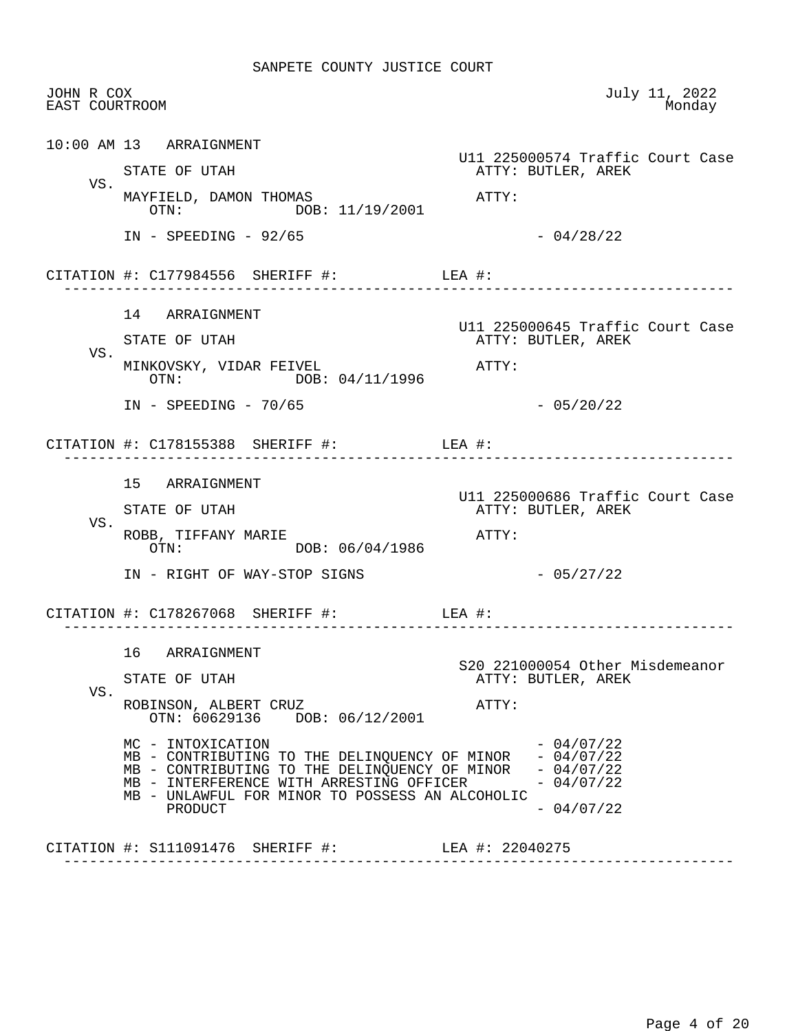| 10:00 AM 13 ARRAIGNMENT<br>U11 225000574 Traffic Court Case<br>STATE OF UTAH<br>ATTY: BUTLER, AREK<br>VS.<br>MAYFIELD, DAMON THOMAS<br>$\mathtt{ATTY}$ :<br>OTN: DOB: 11/19/2001<br>$-04/28/22$<br>$IN - SPEEDING - 92/65$<br>CITATION #: $C177984556$ SHERIFF #: LEA #:<br>14 ARRAIGNMENT<br>U11 225000645 Traffic Court Case |  |
|--------------------------------------------------------------------------------------------------------------------------------------------------------------------------------------------------------------------------------------------------------------------------------------------------------------------------------|--|
|                                                                                                                                                                                                                                                                                                                                |  |
|                                                                                                                                                                                                                                                                                                                                |  |
|                                                                                                                                                                                                                                                                                                                                |  |
|                                                                                                                                                                                                                                                                                                                                |  |
|                                                                                                                                                                                                                                                                                                                                |  |
|                                                                                                                                                                                                                                                                                                                                |  |
| ATTY: BUTLER, AREK<br>STATE OF UTAH                                                                                                                                                                                                                                                                                            |  |
| VS.<br>MINKOVSKY, VIDAR FEIVEL<br>$\mathtt{ATTY}$ :<br>DOB: 04/11/1996<br>OTN:                                                                                                                                                                                                                                                 |  |
| $-05/20/22$<br>$IN - SPEEDING - 70/65$                                                                                                                                                                                                                                                                                         |  |
| CITATION #: $C178155388$ SHERIFF #: LEA #:<br>------------------------------                                                                                                                                                                                                                                                   |  |
| 15 ARRAIGNMENT                                                                                                                                                                                                                                                                                                                 |  |
| U11 225000686 Traffic Court Case<br>ATTY: BUTLER, AREK<br>STATE OF UTAH                                                                                                                                                                                                                                                        |  |
| VS.<br>ROBB, TIFFANY MARIE<br>ATTY:<br>OTN: DOB: 06/04/1986                                                                                                                                                                                                                                                                    |  |
| $-05/27/22$<br>IN - RIGHT OF WAY-STOP SIGNS                                                                                                                                                                                                                                                                                    |  |
| CITATION #: $C178267068$ SHERIFF #: LEA #:                                                                                                                                                                                                                                                                                     |  |
| 16 ARRAIGNMENT<br>S20 221000054 Other Misdemeanor                                                                                                                                                                                                                                                                              |  |
| ATTY: BUTLER, AREK<br>STATE OF UTAH                                                                                                                                                                                                                                                                                            |  |
| VS.<br>ROBINSON, ALBERT CRUZ<br>ATTY:<br>OTN: 60629136 DOB: 06/12/2001                                                                                                                                                                                                                                                         |  |
| $-04/07/22$<br>MC - INTOXICATION<br>$-04/07/22$<br>MB - CONTRIBUTING TO THE DELINQUENCY OF MINOR<br>MB - CONTRIBUTING TO THE DELINQUENCY OF MINOR - 04/07/22<br>MB - INTERFERENCE WITH ARRESTING OFFICER<br>$-04/07/22$                                                                                                        |  |
| MB - UNLAWFUL FOR MINOR TO POSSESS AN ALCOHOLIC<br>$-04/07/22$<br>PRODUCT                                                                                                                                                                                                                                                      |  |
| CITATION #: S111091476 SHERIFF #: LEA #: 22040275                                                                                                                                                                                                                                                                              |  |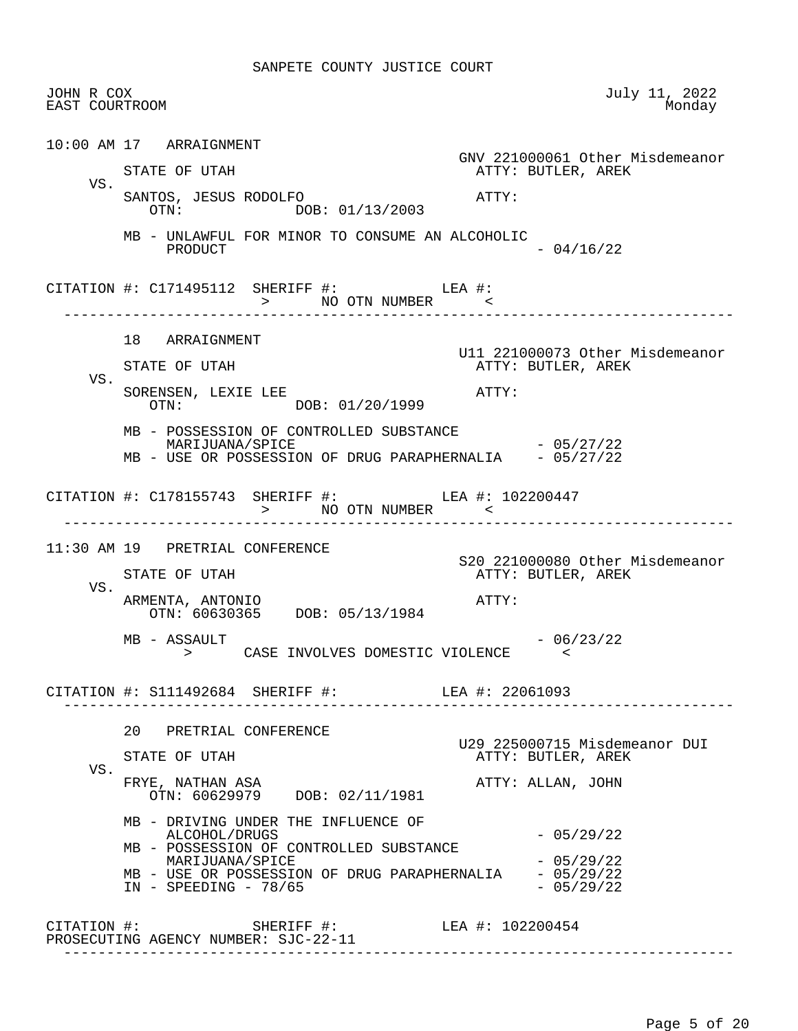| JOHN R COX<br>EAST COURTROOM |                                                                                                                                                  | July 11, 2022<br>Monday                               |
|------------------------------|--------------------------------------------------------------------------------------------------------------------------------------------------|-------------------------------------------------------|
|                              | 10:00 AM 17 ARRAIGNMENT                                                                                                                          |                                                       |
|                              | STATE OF UTAH                                                                                                                                    | GNV 221000061 Other Misdemeanor<br>ATTY: BUTLER, AREK |
| VS.                          | SANTOS, JESUS RODOLFO<br>OTN: DOB: 01/13/2003                                                                                                    | ATTY:                                                 |
|                              | MB - UNLAWFUL FOR MINOR TO CONSUME AN ALCOHOLIC<br>PRODUCT                                                                                       | $-04/16/22$                                           |
|                              | CITATION #: $C171495112$ SHERIFF #: LEA #:<br>+# A⊔L NO OTN NUMBER<br>> NO OTN NUMBER<br>-----------                                             |                                                       |
|                              | 18 ARRAIGNMENT                                                                                                                                   |                                                       |
|                              | STATE OF UTAH                                                                                                                                    | U11 221000073 Other Misdemeanor<br>ATTY: BUTLER, AREK |
| VS.                          | SORENSEN, LEXIE LEE<br>OTN: DOB: 01/20/1999                                                                                                      | ATTY:                                                 |
|                              | MB - POSSESSION OF CONTROLLED SUBSTANCE<br>MARIJUANA/SPICE<br>MB - USE OR POSSESSION OF DRUG PARAPHERNALIA - 05/27/22                            | $-05/27/22$                                           |
|                              | CITATION #: C178155743 SHERIFF #: LEA #: 102200447<br>> NO OTN NUMBER <                                                                          |                                                       |
|                              | 11:30 AM 19 PRETRIAL CONFERENCE                                                                                                                  |                                                       |
|                              | STATE OF UTAH                                                                                                                                    | S20 221000080 Other Misdemeanor<br>ATTY: BUTLER, AREK |
| VS.                          | ARMENTA, ANTONIO<br>OTN: 60630365 DOB: 05/13/1984                                                                                                | ATTY:                                                 |
|                              | MB - ASSAULT<br>> CASE INVOLVES DOMESTIC VIOLENCE                                                                                                | $-06/23/22$<br>$\sim$ $\sim$                          |
|                              | CITATION #: S111492684 SHERIFF #: LEA #: 22061093                                                                                                |                                                       |
|                              | 20 PRETRIAL CONFERENCE                                                                                                                           |                                                       |
|                              | STATE OF UTAH                                                                                                                                    | U29 225000715 Misdemeanor DUI<br>ATTY: BUTLER, AREK   |
| VS.                          | FRYE, NATHAN ASA<br>OTN: 60629979 DOB: 02/11/1981                                                                                                | ATTY: ALLAN, JOHN                                     |
|                              |                                                                                                                                                  |                                                       |
|                              | MB - DRIVING UNDER THE INFLUENCE OF<br>ALCOHOL/DRUGS                                                                                             | $-05/29/22$                                           |
|                              | MB - POSSESSION OF CONTROLLED SUBSTANCE<br>MARIJUANA/SPICE<br>MB - USE OR POSSESSION OF DRUG PARAPHERNALIA - 05/29/22<br>$IN - SPEEDING - 78/65$ | $-05/29/22$<br>$-05/29/22$                            |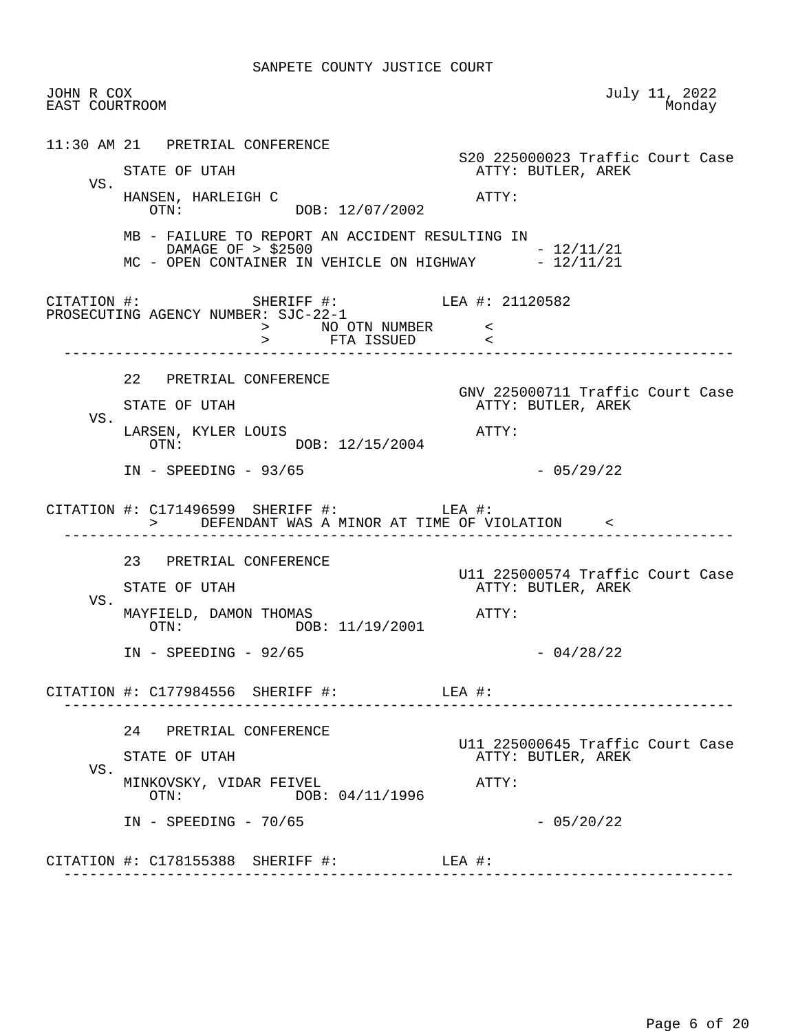|     | JOHN R COX<br>EAST COURTROOM                                                                                                  | July 11, 2022<br>Monday                                |
|-----|-------------------------------------------------------------------------------------------------------------------------------|--------------------------------------------------------|
|     | 11:30 AM 21 PRETRIAL CONFERENCE                                                                                               | S20 225000023 Traffic Court Case                       |
|     | STATE OF UTAH                                                                                                                 | ATTY: BUTLER, AREK                                     |
| VS. | HANSEN, HARLEIGH C<br>OTN: DOB: 12/07/2002                                                                                    | $\mathtt{ATTY}$ :                                      |
|     | MB - FAILURE TO REPORT AN ACCIDENT RESULTING IN<br>DAMAGE OF > \$2500<br>MC - OPEN CONTAINER IN VEHICLE ON HIGHWAY - 12/11/21 | $-12/11/21$                                            |
|     | CITATION #: SHERIFF #: LEA #: 21120582<br>PROSECUTING AGENCY NUMBER: SJC-22-1<br>> NO OTN NUMBER <<br>> FTA ISSUED <          |                                                        |
|     | 22 PRETRIAL CONFERENCE                                                                                                        |                                                        |
|     | STATE OF UTAH                                                                                                                 | GNV 225000711 Traffic Court Case<br>ATTY: BUTLER, AREK |
| VS. | LARSEN, KYLER LOUIS<br>OTN: DOB: 12/15/2004                                                                                   | $\mathtt{ATTY}$ :                                      |
|     | $IN - SPEEDING - 93/65$                                                                                                       | $-05/29/22$                                            |
|     | CITATION #: $C171496599$ SHERIFF #: LEA #:<br>> DEFENDANT WAS A MINOR AT TIME OF VIOLATION <                                  |                                                        |
|     | 23 PRETRIAL CONFERENCE                                                                                                        |                                                        |
|     | STATE OF UTAH                                                                                                                 | U11 225000574 Traffic Court Case<br>ATTY: BUTLER, AREK |
| VS. | MAYFIELD, DAMON THOMAS<br>OTN: DOB: 11/19/2001                                                                                | ATTY:                                                  |
|     |                                                                                                                               |                                                        |
|     | $IN - SPEEDING - 92/65$                                                                                                       | $-04/28/22$                                            |
|     | CITATION #: C177984556 SHERIFF #: LEA #:                                                                                      |                                                        |
|     | 24 PRETRIAL CONFERENCE                                                                                                        |                                                        |
|     | STATE OF UTAH                                                                                                                 | U11 225000645 Traffic Court Case<br>ATTY: BUTLER, AREK |
| VS. | MINKOVSKY, VIDAR FEIVEL<br>DOB: 04/11/1996<br>OTN:                                                                            | ATTY:                                                  |
|     | $IN - SPEEDING - 70/65$                                                                                                       | $-05/20/22$                                            |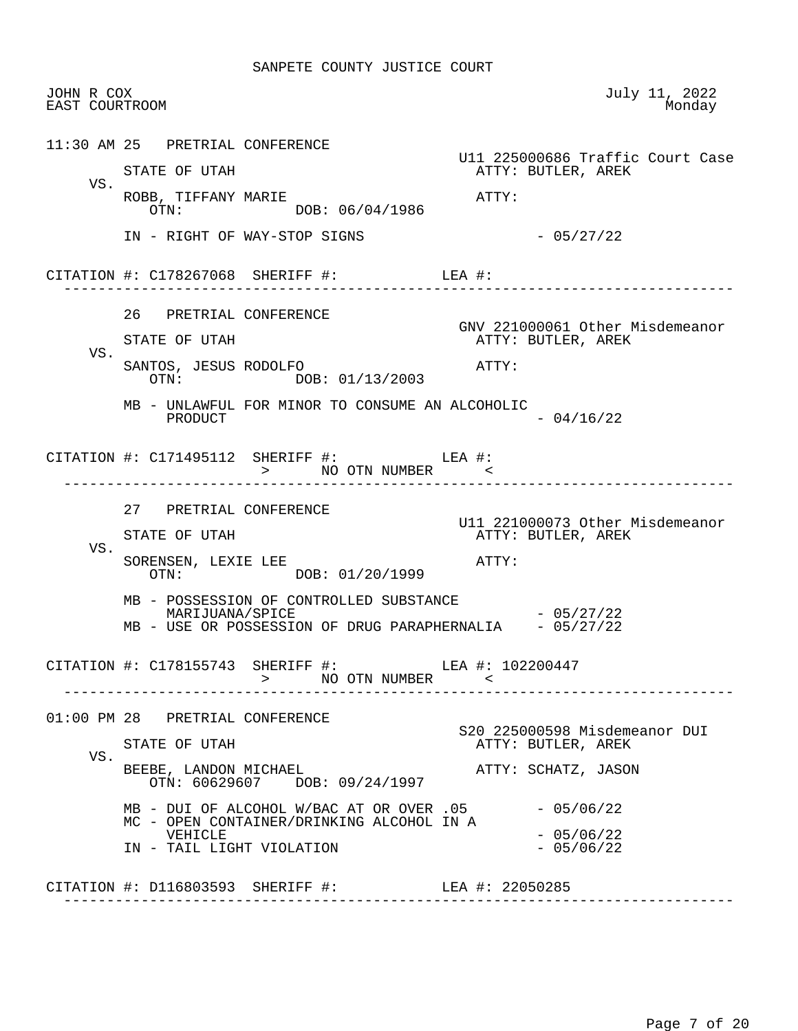| JOHN R COX<br>EAST COURTROOM |                                                  |                                                                                       | July 11, 2022<br>Monday                                                |
|------------------------------|--------------------------------------------------|---------------------------------------------------------------------------------------|------------------------------------------------------------------------|
|                              | 11:30 AM 25 PRETRIAL CONFERENCE<br>STATE OF UTAH |                                                                                       | U11 225000686 Traffic Court Case<br>ATTY: BUTLER, AREK                 |
| VS.                          | ROBB, TIFFANY MARIE                              | OTN: DOB: 06/04/1986                                                                  | АТТҮ:                                                                  |
|                              |                                                  | IN - RIGHT OF WAY-STOP SIGNS                                                          | $-05/27/22$                                                            |
|                              |                                                  | CITATION #: $C178267068$ SHERIFF #: LEA #:                                            |                                                                        |
| VS.                          | 26 PRETRIAL CONFERENCE<br>STATE OF UTAH          |                                                                                       | GNV 221000061 Other Misdemeanor<br>ATTY: BUTLER, AREK                  |
|                              | SANTOS, JESUS RODOLFO                            | OTN: DOB: 01/13/2003                                                                  | ATTY:                                                                  |
|                              | PRODUCT                                          | MB - UNLAWFUL FOR MINOR TO CONSUME AN ALCOHOLIC                                       | $-04/16/22$                                                            |
|                              |                                                  | CITATION #: $C171495112$ SHERIFF #: LEA #:<br>> NO OTN NUMBER <                       |                                                                        |
|                              | 27 PRETRIAL CONFERENCE<br>STATE OF UTAH          |                                                                                       | U11 221000073 Other Misdemeanor<br>ATTY: BUTLER, AREK                  |
| VS.                          | SORENSEN, LEXIE LEE                              | OTN: DOB: 01/20/1999                                                                  | ATTY:                                                                  |
|                              | MARIJUANA/SPICE                                  | MB - POSSESSION OF CONTROLLED SUBSTANCE                                               | $-05/27/22$<br>MB - USE OR POSSESSION OF DRUG PARAPHERNALIA - 05/27/22 |
|                              |                                                  | CITATION #: C178155743 SHERIFF #: LEA #: 102200447<br>> NO OTN NUMBER <               |                                                                        |
|                              | 01:00 PM 28 PRETRIAL CONFERENCE                  |                                                                                       | S20 225000598 Misdemeanor DUI                                          |
| VS.                          | STATE OF UTAH                                    |                                                                                       | ATTY: BUTLER, AREK                                                     |
|                              | BEEBE, LANDON MICHAEL                            | OTN: 60629607 DOB: 09/24/1997                                                         | ATTY: SCHATZ, JASON                                                    |
|                              | VEHICLE<br>IN - TAIL LIGHT VIOLATION             | MB - DUI OF ALCOHOL W/BAC AT OR OVER .05<br>MC - OPEN CONTAINER/DRINKING ALCOHOL IN A | $-05/06/22$<br>$-05/06/22$<br>$-05/06/22$                              |
|                              |                                                  | CITATION #: D116803593 SHERIFF #: LEA #: 22050285                                     |                                                                        |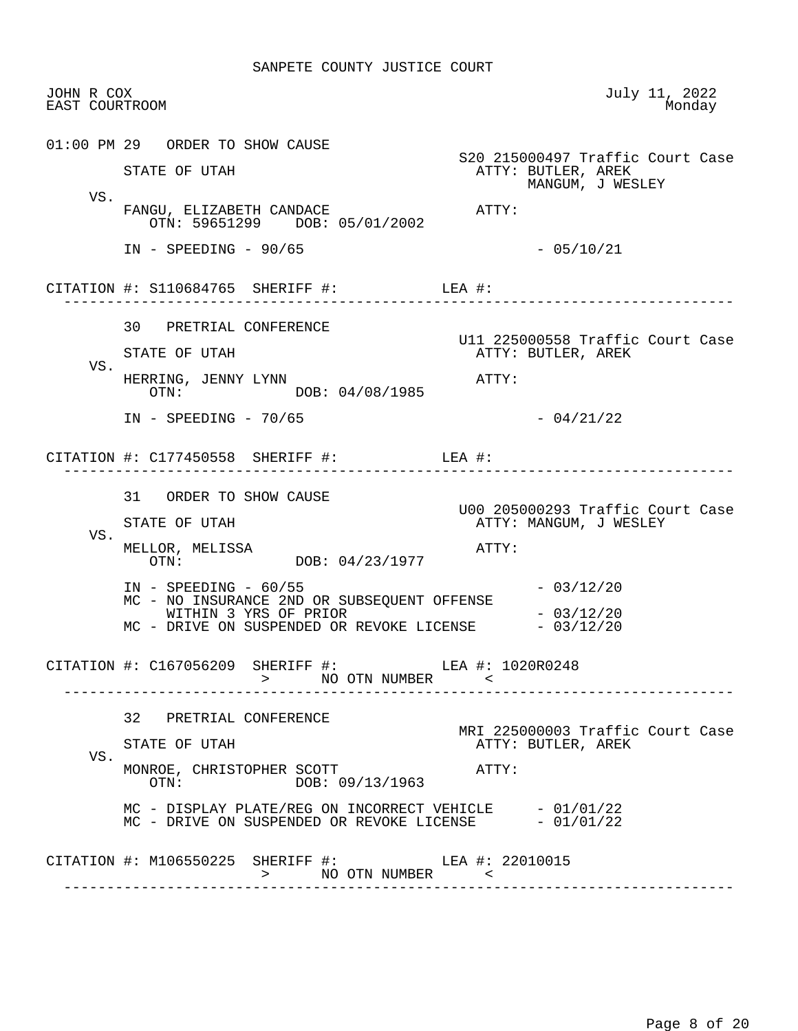| JOHN R COX<br>EAST COURTROOM |                                                                                                                                                           | July 11, 2022<br>Monday                                                    |
|------------------------------|-----------------------------------------------------------------------------------------------------------------------------------------------------------|----------------------------------------------------------------------------|
|                              | 01:00 PM 29 ORDER TO SHOW CAUSE<br>STATE OF UTAH                                                                                                          | S20 215000497 Traffic Court Case<br>ATTY: BUTLER, AREK<br>MANGUM, J WESLEY |
| VS.                          | FANGU, ELIZABETH CANDACE<br>OTN: 59651299 DOB: 05/01/2002                                                                                                 | ATTY:                                                                      |
|                              | $IN - SPEEDING - 90/65$                                                                                                                                   | $-05/10/21$                                                                |
|                              | CITATION #: $S110684765$ SHERIFF #: LEA #:                                                                                                                | ------------------------------                                             |
| VS.                          | 30 PRETRIAL CONFERENCE<br>STATE OF UTAH<br>HERRING, JENNY LYNN                                                                                            | U11 225000558 Traffic Court Case<br>ATTY: BUTLER, AREK<br>ATTY:            |
|                              | DOB: 04/08/1985<br>OTN:<br>$IN - SPEEDING - 70/65$                                                                                                        | $-04/21/22$                                                                |
|                              | CITATION #: C177450558 SHERIFF #: LEA #:                                                                                                                  |                                                                            |
| VS.                          | 31 ORDER TO SHOW CAUSE<br>STATE OF UTAH<br>MELLOR, MELISSA<br>OTN: DOB: 04/23/1977                                                                        | U00 205000293 Traffic Court Case<br>ATTY: MANGUM, J WESLEY<br>ATTY:        |
|                              | $IN - SPEEDING - 60/55$<br>MC - NO INSURANCE 2ND OR SUBSEQUENT OFFENSE<br>WITHIN 3 YRS OF PRIOR<br>MC - DRIVE ON SUSPENDED OR REVOKE LICENSE $-03/12/20$  | $-03/12/20$<br>$-03/12/20$                                                 |
|                              | CITATION #: C167056209 SHERIFF #: LEA #: 1020R0248<br>> NO OTN NUMBER <                                                                                   |                                                                            |
| VS.                          | 32 PRETRIAL CONFERENCE<br>STATE OF UTAH<br>MONROE, CHRISTOPHER SCOTT                                                                                      | MRI 225000003 Traffic Court Case<br>ATTY: BUTLER, AREK<br>ATTY:            |
|                              | $\overline{OTN}$ :<br>DOB: 09/13/1963<br>MC - DISPLAY PLATE/REG ON INCORRECT VEHICLE $-01/01/22$<br>MC - DRIVE ON SUSPENDED OR REVOKE LICENSE $-01/01/22$ |                                                                            |
|                              | CITATION #: M106550225 SHERIFF #: LEA #: 22010015<br>NO OTN NUMBER <<br>$\geq$                                                                            |                                                                            |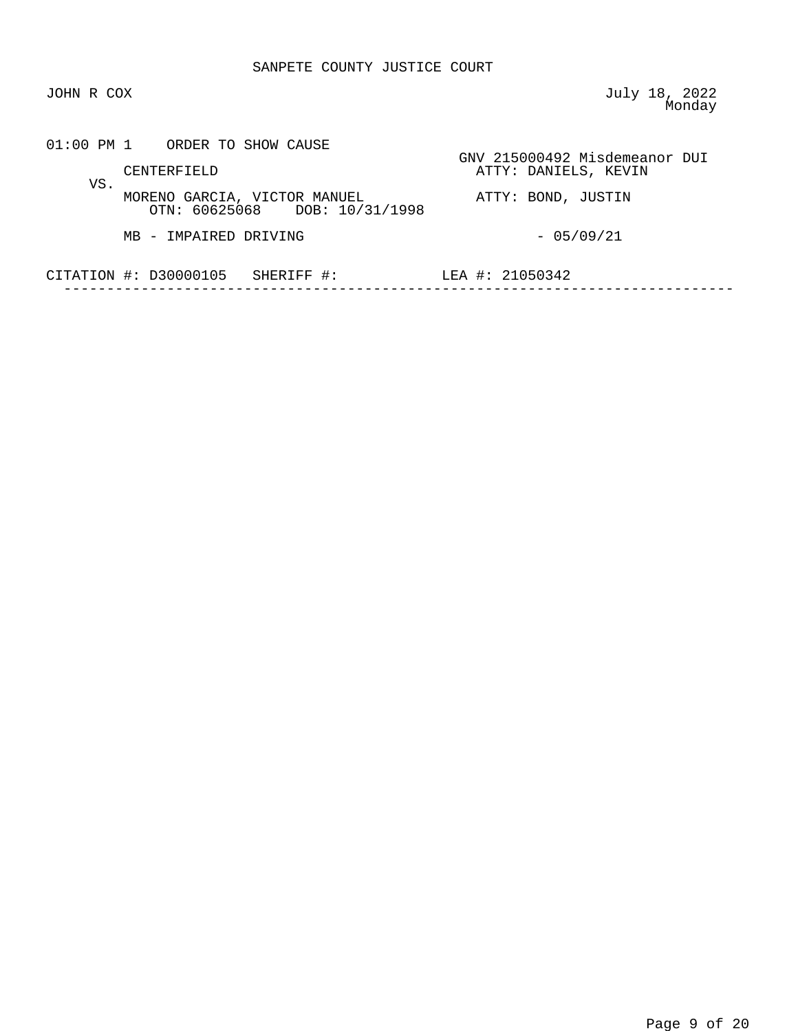JOHN R COX July 18, 2022 e a comparative contract of the Monday Monday

|     | 01:00 PM 1 ORDER TO SHOW CAUSE                                |                                                       |
|-----|---------------------------------------------------------------|-------------------------------------------------------|
| VS. | CENTERFIELD                                                   | GNV 215000492 Misdemeanor DUI<br>ATTY: DANIELS, KEVIN |
|     | MORENO GARCIA, VICTOR MANUEL<br>OTN: 60625068 DOB: 10/31/1998 | ATTY: BOND, JUSTIN                                    |
|     | MB - IMPAIRED DRIVING                                         | $-05/09/21$                                           |
|     | CITATION $\#$ : D30000105<br>SHERIFF #:                       | LEA #: 21050342                                       |
|     |                                                               |                                                       |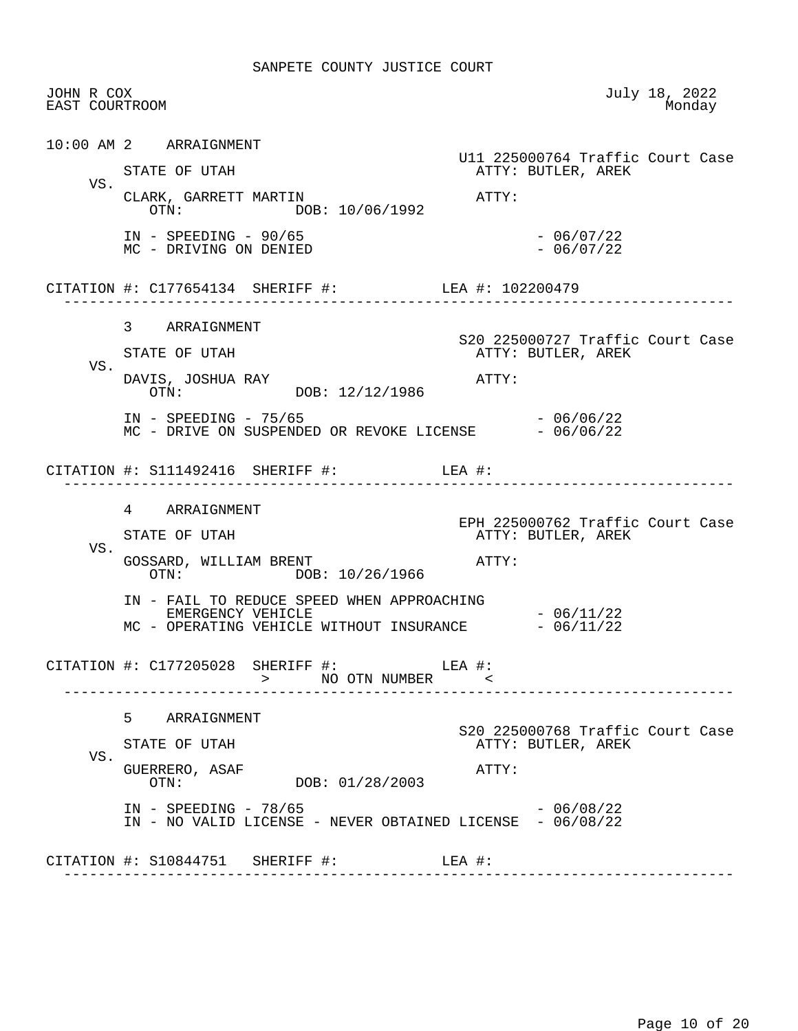| JOHN R COX<br>EAST COURTROOM |                                                                                                             |                                                        | July 18, 2022<br>Monday |
|------------------------------|-------------------------------------------------------------------------------------------------------------|--------------------------------------------------------|-------------------------|
|                              | 10:00 AM 2 ARRAIGNMENT                                                                                      | Ull 225000764 Traffic Court Case                       |                         |
| VS.                          | STATE OF UTAH                                                                                               | ATTY: BUTLER, AREK                                     |                         |
|                              | CLARK, GARRETT MARTIN<br>OTN: DOB: 10/06/1992                                                               | ATTY:                                                  |                         |
|                              | $IN - SPEEDING - 90/65$<br>MC - DRIVING ON DENIED                                                           | $-06/07/22$<br>$-06/07/22$                             |                         |
|                              | CITATION #: C177654134 SHERIFF #: LEA #: 102200479                                                          |                                                        |                         |
|                              | 3 ARRAIGNMENT                                                                                               | S20 225000727 Traffic Court Case                       |                         |
|                              | STATE OF UTAH                                                                                               | ATTY: BUTLER, AREK                                     |                         |
| VS.                          | DAVIS, JOSHUA RAY<br>OTN: DOB: 12/12/1986                                                                   | ATTY:                                                  |                         |
|                              | $IN - SPEEDING - 75/65$<br>MC - DRIVE ON SUSPENDED OR REVOKE LICENSE - 06/06/22                             | - 06/06/22                                             |                         |
|                              | CITATION #: $S111492416$ SHERIFF #: LEA #:                                                                  |                                                        |                         |
|                              | 4 ARRAIGNMENT                                                                                               | EPH 225000762 Traffic Court Case                       |                         |
|                              | STATE OF UTAH                                                                                               | ATTY: BUTLER, AREK                                     |                         |
| VS.                          | GOSSARD, WILLIAM BRENT<br>OTN: DOB: 10/26/1966                                                              | ATTY:                                                  |                         |
|                              | IN - FAIL TO REDUCE SPEED WHEN APPROACHING<br>EMERGENCY VEHICLE<br>MC - OPERATING VEHICLE WITHOUT INSURANCE | $-06/11/22$<br>$-06/11/22$                             |                         |
|                              | CITATION #: $C177205028$ SHERIFF #: LEA #:<br>> NO OTN NUMBER <                                             |                                                        |                         |
|                              | 5<br>ARRAIGNMENT                                                                                            |                                                        |                         |
|                              | STATE OF UTAH                                                                                               | S20 225000768 Traffic Court Case<br>ATTY: BUTLER, AREK |                         |
| VS.                          | GUERRERO, ASAF<br>DOB: 01/28/2003<br>OTN:                                                                   | ATTY:                                                  |                         |
|                              | $IN - SPEEDING - 78/65$                                                                                     | $-06/08/22$                                            |                         |
|                              | IN - NO VALID LICENSE - NEVER OBTAINED LICENSE - 06/08/22                                                   |                                                        |                         |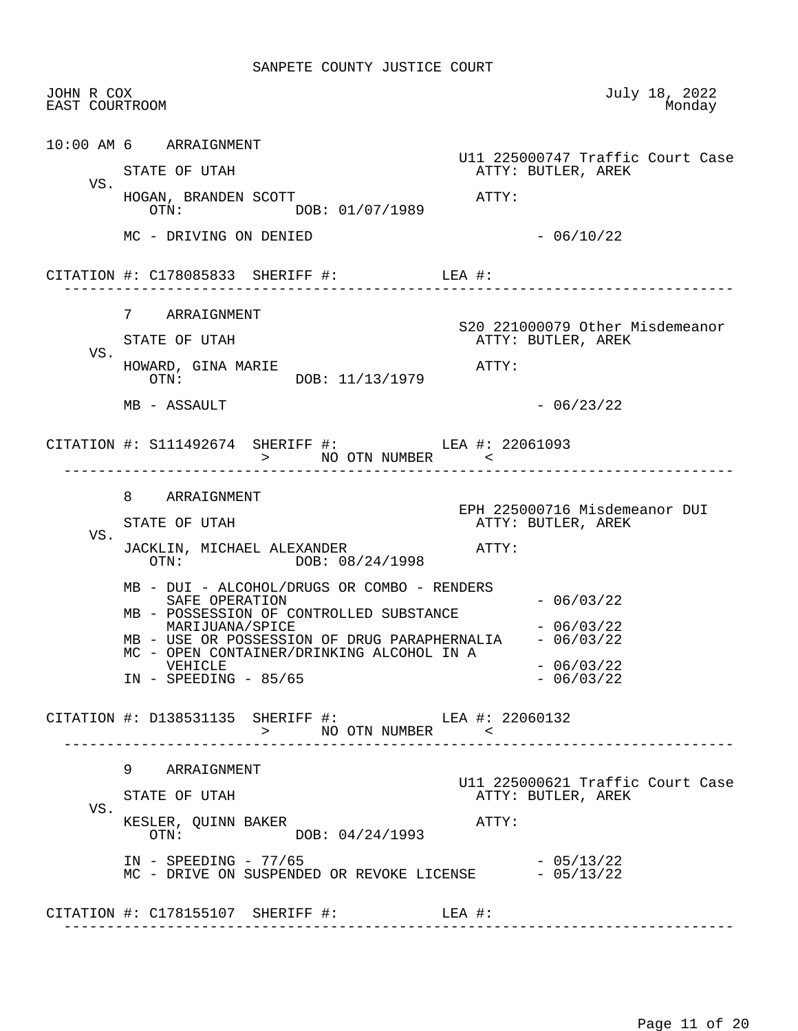| JOHN R COX<br>EAST COURTROOM |                                                                                                                                                                                                                                                                                | July 18, 2022<br>Monday                                         |
|------------------------------|--------------------------------------------------------------------------------------------------------------------------------------------------------------------------------------------------------------------------------------------------------------------------------|-----------------------------------------------------------------|
| VS.                          | 10:00 AM 6 ARRAIGNMENT<br>STATE OF UTAH<br>HOGAN, BRANDEN SCOTT                                                                                                                                                                                                                | U11 225000747 Traffic Court Case<br>ATTY: BUTLER, AREK<br>ATTY: |
|                              | OTN: DOB: 01/07/1989<br>MC - DRIVING ON DENIED                                                                                                                                                                                                                                 | $-06/10/22$                                                     |
|                              | CITATION #: $C178085833$ SHERIFF #: LEA #:                                                                                                                                                                                                                                     |                                                                 |
| VS.                          | 7 ARRAIGNMENT<br>STATE OF UTAH<br>HOWARD, GINA MARIE<br>OTN: DOB: 11/13/1979                                                                                                                                                                                                   | S20 221000079 Other Misdemeanor<br>ATTY: BUTLER, AREK<br>ATTY:  |
|                              | MB - ASSAULT                                                                                                                                                                                                                                                                   | $-06/23/22$                                                     |
|                              | CITATION #: S111492674 SHERIFF #: LEA #: 22061093<br>> NO OTN NUMBER <                                                                                                                                                                                                         |                                                                 |
| VS.                          | 8 ARRAIGNMENT<br>STATE OF UTAH<br>JACKLIN, MICHAEL ALEXANDER<br>OTN: DOB: 08/24/1998                                                                                                                                                                                           | EPH 225000716 Misdemeanor DUI<br>ATTY: BUTLER, AREK<br>ATTY:    |
|                              | MB - DUI - ALCOHOL/DRUGS OR COMBO - RENDERS<br>SAFE OPERATION<br>MB - POSSESSION OF CONTROLLED SUBSTANCE<br>MARIJUANA/SPICE<br>MB - USE OR POSSESSION OF DRUG PARAPHERNALIA - 06/03/22<br>MC - OPEN CONTAINER/DRINKING ALCOHOL IN A<br>VEHICLE<br>$IN - SPEEDING - 85/65$      | $-06/03/22$<br>$-06/03/22$<br>$-06/03/22$<br>$-06/03/22$        |
|                              | $\begin{tabular}{lllllll} \multicolumn{2}{c}{\texttt{CITATION}} & \texttt{+}: & \texttt{D138531135} & \texttt{SHERIFF} & \texttt{+}: & \texttt{OFN} & \texttt{NUMBER} & & \texttt{+}: & \texttt{22060132} \\ & & & & & \texttt{NO OTN NUMBER} & & \texttt{<} \\ \end{tabular}$ |                                                                 |
| VS.                          | 9 ARRAIGNMENT<br>STATE OF UTAH<br>KESLER, QUINN BAKER<br>DOB: 04/24/1993<br>OTN:                                                                                                                                                                                               | U11 225000621 Traffic Court Case<br>ATTY: BUTLER, AREK<br>ATTY: |
|                              | $IN - SPEEDING - 77/65$<br>MC - DRIVE ON SUSPENDED OR REVOKE LICENSE - 05/13/22                                                                                                                                                                                                | $-05/13/22$                                                     |
|                              | CITATION #: $C178155107$ SHERIFF #: LEA #:                                                                                                                                                                                                                                     |                                                                 |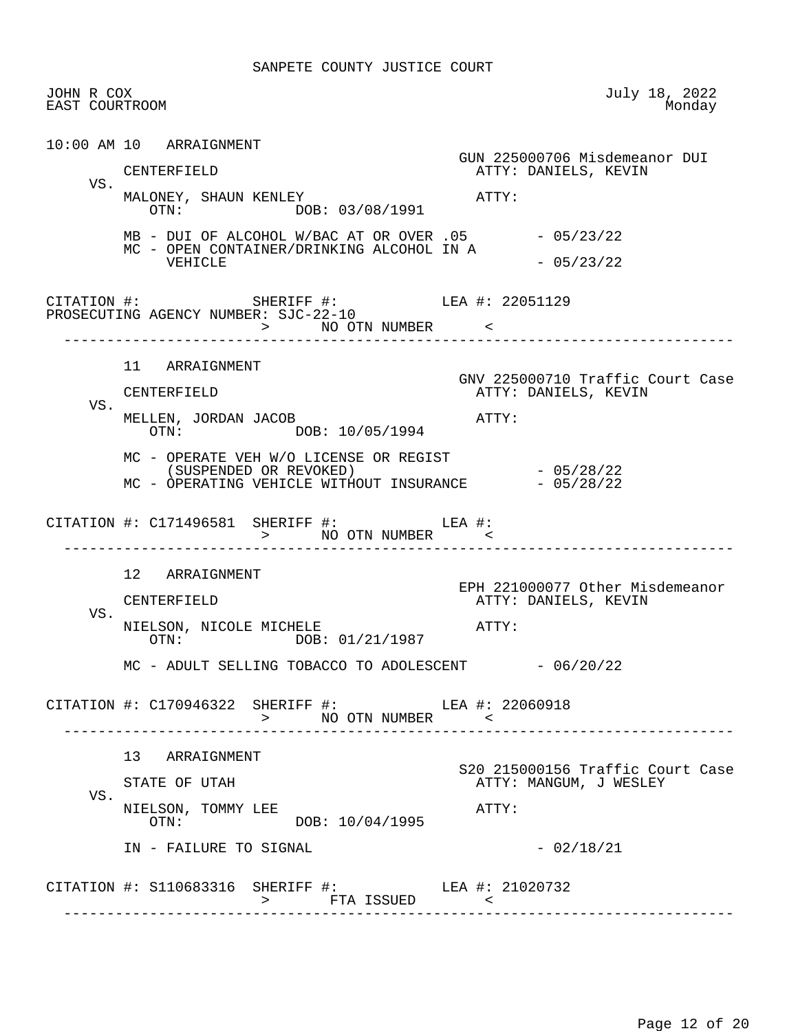| JOHN R COX<br>EAST COURTROOM |                                                                                                     | July 18, 2022<br>Monday                                    |
|------------------------------|-----------------------------------------------------------------------------------------------------|------------------------------------------------------------|
|                              | 10:00 AM 10 ARRAIGNMENT                                                                             |                                                            |
| VS.                          | CENTERFIELD                                                                                         | GUN 225000706 Misdemeanor DUI<br>ATTY: DANIELS, KEVIN      |
|                              | MALONEY, SHAUN KENLEY<br>OTN: DOB: 03/08/1991                                                       | ATTY:                                                      |
|                              | $MB - DUI$ OF ALCOHOL W/BAC AT OR OVER .05 $-05/23/22$<br>MC - OPEN CONTAINER/DRINKING ALCOHOL IN A |                                                            |
|                              | VEHICLE                                                                                             | $-05/23/22$                                                |
|                              | CITATION #: SHERIFF #: LEA #: 22051129<br>PROSECUTING AGENCY NUMBER: SJC-22-10<br>> NO OTN NUMBER < |                                                            |
|                              | 11 ARRAIGNMENT                                                                                      |                                                            |
|                              | CENTERFIELD                                                                                         | GNV 225000710 Traffic Court Case<br>ATTY: DANIELS, KEVIN   |
| VS.                          | MELLEN, JORDAN JACOB<br>OTN: DOB: 10/05/1994                                                        | ATTY:                                                      |
|                              | MC - OPERATE VEH W/O LICENSE OR REGIST<br>(SUSPENDED OR REVOKED)                                    | $-05/28/22$                                                |
|                              | MC - OPERATING VEHICLE WITHOUT INSURANCE - 05/28/22                                                 |                                                            |
|                              | CITATION #: $C171496581$ SHERIFF #: LEA #:                                                          |                                                            |
|                              | 12 ARRAIGNMENT                                                                                      |                                                            |
|                              | CENTERFIELD                                                                                         | EPH 221000077 Other Misdemeanor<br>ATTY: DANIELS, KEVIN    |
| VS.                          | NIELSON, NICOLE MICHELE<br>OTN: DOB: 01/21/1987                                                     | ATTY:                                                      |
|                              | MC - ADULT SELLING TOBACCO TO ADOLESCENT - 06/20/22                                                 |                                                            |
|                              | CITATION #: C170946322 SHERIFF #: LEA #: 22060918<br>> NO OTN NUMBER <                              |                                                            |
|                              | 13 ARRAIGNMENT                                                                                      |                                                            |
|                              | STATE OF UTAH                                                                                       | S20 215000156 Traffic Court Case<br>ATTY: MANGUM, J WESLEY |
|                              |                                                                                                     |                                                            |
| VS.                          | NIELSON, TOMMY LEE<br>DOB: 10/04/1995<br>OTN:                                                       | ATTY:                                                      |
|                              | IN - FAILURE TO SIGNAL                                                                              | $-02/18/21$                                                |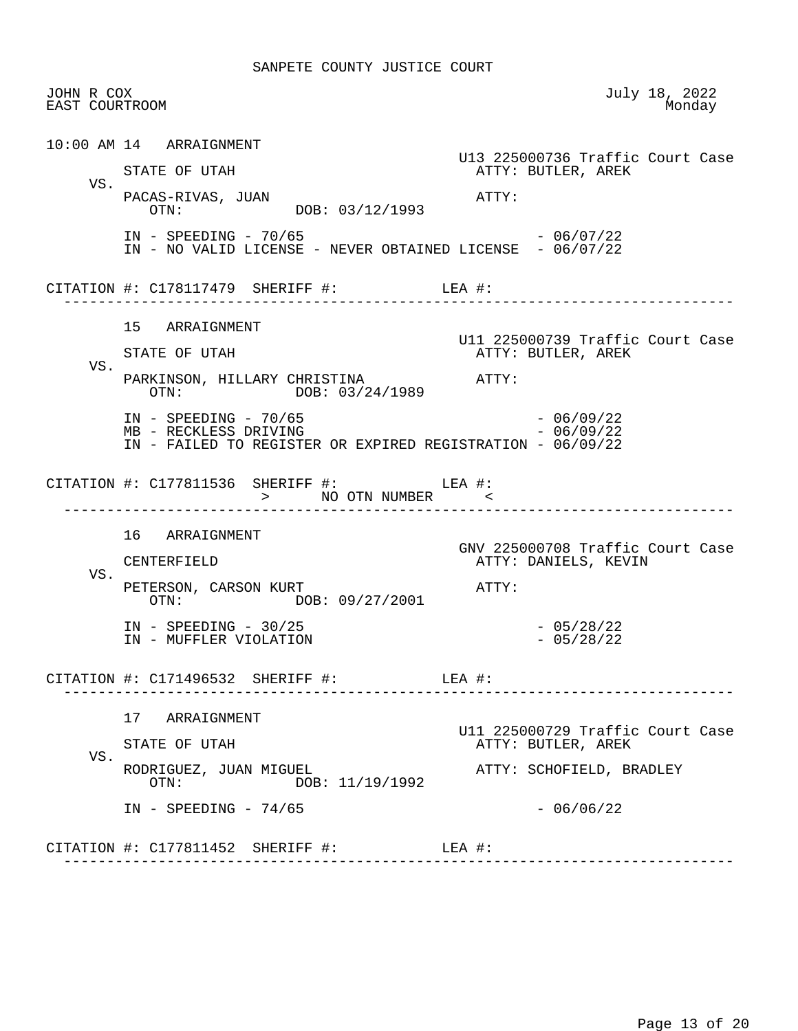| JOHN R COX<br>EAST COURTROOM |                                                                                                                | July 18, 2022<br>Monday                                  |
|------------------------------|----------------------------------------------------------------------------------------------------------------|----------------------------------------------------------|
|                              | 10:00 AM 14 ARRAIGNMENT                                                                                        | U13 225000736 Traffic Court Case                         |
| VS.                          | STATE OF UTAH                                                                                                  | ATTY: BUTLER, AREK                                       |
|                              | PACAS-RIVAS, JUAN<br>OTN: DOB: 03/12/1993                                                                      | ATTY:                                                    |
|                              | $IN - SPEEDING - 70/65$<br>IN - NO VALID LICENSE - NEVER OBTAINED LICENSE - 06/07/22                           | - 06/07/22                                               |
|                              | CITATION #: $C178117479$ SHERIFF #: LEA #:                                                                     |                                                          |
|                              | 15 ARRAIGNMENT                                                                                                 |                                                          |
|                              | STATE OF UTAH                                                                                                  | U11 225000739 Traffic Court Case<br>ATTY: BUTLER, AREK   |
| VS.                          | PARKINSON, HILLARY CHRISTINA ATTY:<br>OTN: DOB: 03/24/1989                                                     |                                                          |
|                              | $IN - SPEEDING - 70/65$<br>MB - RECKLESS DRIVING<br>IN - FAILED TO REGISTER OR EXPIRED REGISTRATION - 06/09/22 | $-06/09/22$<br>$-06/09/22$                               |
|                              |                                                                                                                |                                                          |
|                              | CITATION #: $C177811536$ SHERIFF #: LEA #:<br>> NO OTN NUMBER                                                  |                                                          |
|                              | 16 ARRAIGNMENT                                                                                                 |                                                          |
|                              | CENTERFIELD                                                                                                    | GNV 225000708 Traffic Court Case<br>ATTY: DANIELS, KEVIN |
| VS.                          | PETERSON, CARSON KURT<br>OTN: DOB: 09/27/2001                                                                  | ATTY:                                                    |
|                              | $IN - SPEEDING - 30/25$<br>IN - MUFFLER VIOLATION                                                              | $-05/28/22$<br>$-05/28/22$                               |
|                              | CITATION $\#$ : C171496532 SHERIFF $\#$ :                                                                      | LEA #:                                                   |
|                              | 17<br>ARRAIGNMENT                                                                                              |                                                          |
|                              | STATE OF UTAH                                                                                                  | U11 225000729 Traffic Court Case<br>ATTY: BUTLER, AREK   |
| VS.                          | RODRIGUEZ, JUAN MIGUEL<br>DOB: 11/19/1992<br>OTN:                                                              | ATTY: SCHOFIELD, BRADLEY                                 |
|                              | $IN - SPEEDING - 74/65$                                                                                        | $-06/06/22$                                              |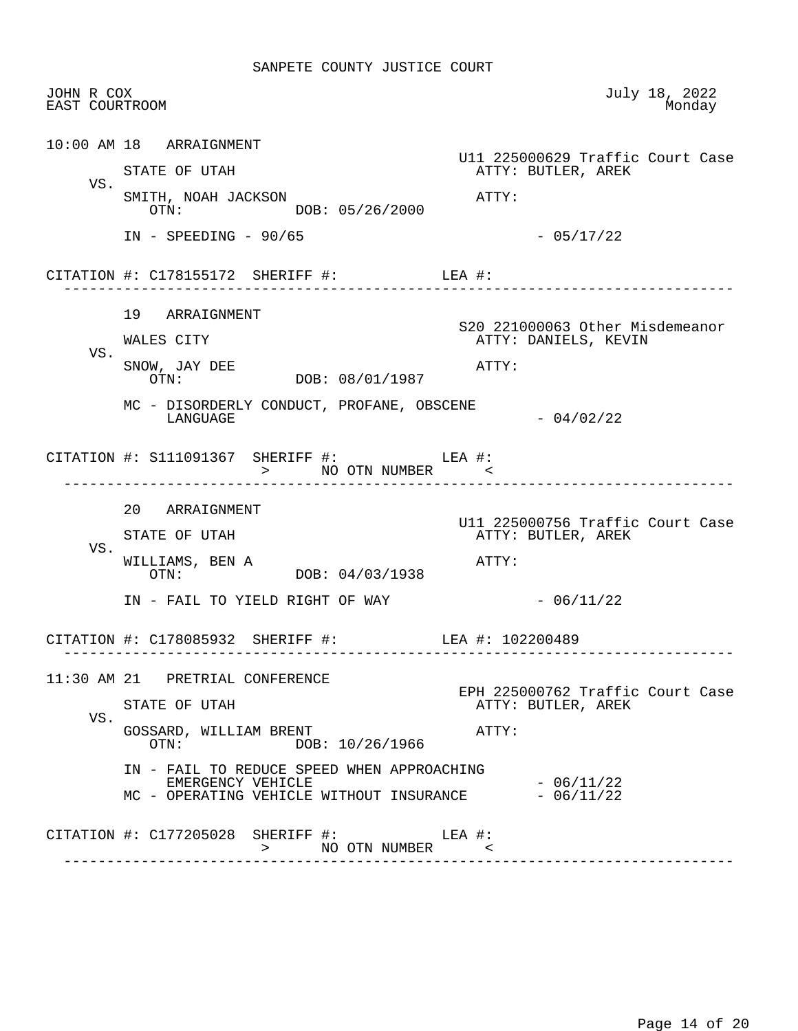| JOHN R COX<br>EAST COURTROOM |                                                                                                             | July 18, 2022<br>Monday                                |
|------------------------------|-------------------------------------------------------------------------------------------------------------|--------------------------------------------------------|
|                              | $10:00$ AM $18$ ARRAIGNMENT                                                                                 | U11 225000629 Traffic Court Case                       |
| VS.                          | STATE OF UTAH                                                                                               | ATTY: BUTLER, AREK                                     |
|                              | SMITH, NOAH JACKSON<br>OTN: DOB: 05/26/2000                                                                 | ATTY:                                                  |
|                              | $IN$ - SPEEDING - 90/65                                                                                     | $-05/17/22$                                            |
|                              | CITATION #: $C178155172$ SHERIFF #: LEA #:                                                                  |                                                        |
|                              | 19 ARRAIGNMENT                                                                                              | S20 221000063 Other Misdemeanor                        |
| VS.                          | WALES CITY                                                                                                  | ATTY: DANIELS, KEVIN                                   |
|                              | SNOW, JAY DEE<br>OTN: DOB: 08/01/1987                                                                       | ATTY:                                                  |
|                              | MC - DISORDERLY CONDUCT, PROFANE, OBSCENE<br>LANGUAGE                                                       | $-04/02/22$                                            |
|                              | CITATION #: $S111091367$ SHERIFF #: LEA #:<br>> NO OTN NUMBER <                                             |                                                        |
|                              | 20 ARRAIGNMENT                                                                                              |                                                        |
|                              | STATE OF UTAH                                                                                               | U11 225000756 Traffic Court Case<br>ATTY: BUTLER, AREK |
| VS.                          | WILLIAMS, BEN A<br>DOB: 04/03/1938<br>OTN:                                                                  | ATTY:                                                  |
|                              | IN - FAIL TO YIELD RIGHT OF WAY                                                                             | $-06/11/22$                                            |
|                              | CITATION #: C178085932 SHERIFF #:                                                                           | LEA #: 102200489                                       |
|                              | 11:30 AM 21 PRETRIAL CONFERENCE                                                                             |                                                        |
| VS.                          | STATE OF UTAH                                                                                               | EPH 225000762 Traffic Court Case<br>ATTY: BUTLER, AREK |
|                              | GOSSARD, WILLIAM BRENT<br>DOB: 10/26/1966<br>OTN:                                                           | ATTY:                                                  |
|                              |                                                                                                             |                                                        |
|                              | IN - FAIL TO REDUCE SPEED WHEN APPROACHING<br>EMERGENCY VEHICLE<br>MC - OPERATING VEHICLE WITHOUT INSURANCE | $-06/11/22$<br>$-06/11/22$                             |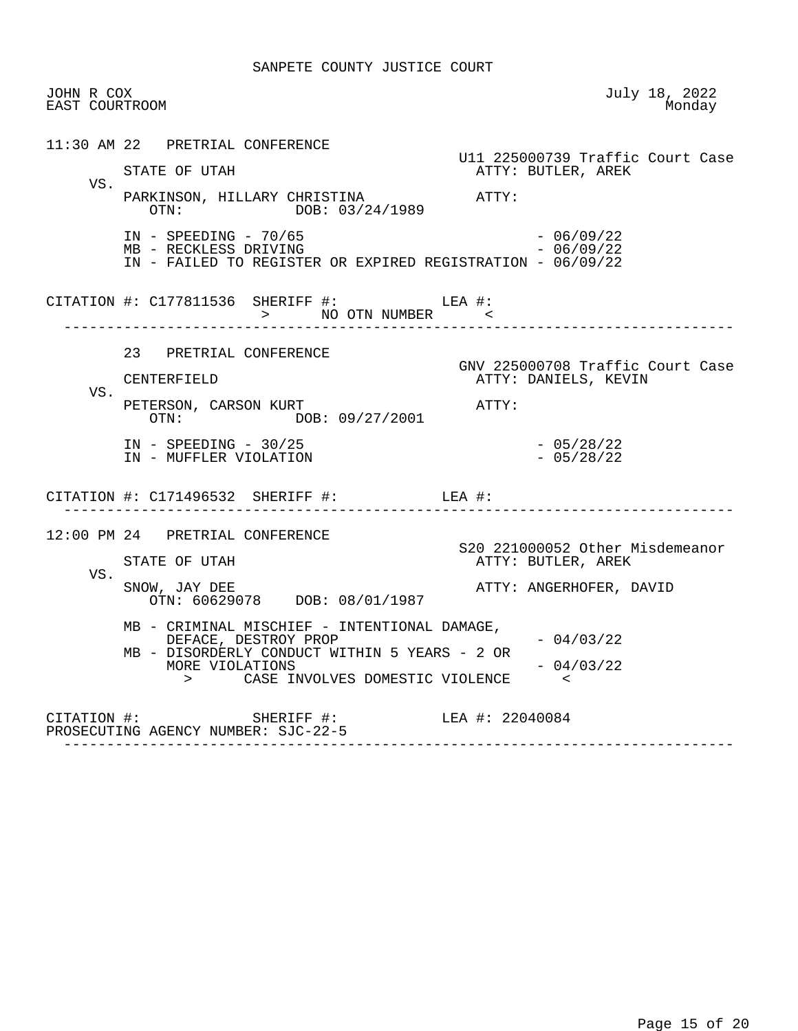| JOHN R COX<br>EAST COURTROOM |                                                                                                                                                                                                                                                                                                                                                                                                                                                             | July 18, 2022<br>Monday                                                                       |
|------------------------------|-------------------------------------------------------------------------------------------------------------------------------------------------------------------------------------------------------------------------------------------------------------------------------------------------------------------------------------------------------------------------------------------------------------------------------------------------------------|-----------------------------------------------------------------------------------------------|
| VS.                          | 11:30 AM 22 PRETRIAL CONFERENCE<br>STATE OF UTAH<br>PARKINSON, HILLARY CHRISTINA<br>OTN: DOB: 03/24/1989<br>$IN - SPEEDING - 70/65$<br>MB - RECKLESS DRIVING<br>IN - FAILED TO REGISTER OR EXPIRED REGISTRATION - 06/09/22                                                                                                                                                                                                                                  | U11 225000739 Traffic Court Case<br>ATTY: BUTLER, AREK<br>ATTY:<br>$-06/09/22$<br>$-06/09/22$ |
|                              | CITATION #: C177811536 SHERIFF #: LEA #:<br>> NO OTN NUMBER <                                                                                                                                                                                                                                                                                                                                                                                               |                                                                                               |
| VS.                          | 23 PRETRIAL CONFERENCE<br>CENTERFIELD<br>PETERSON, CARSON KURT<br>OTN: DOB: 09/27/2001<br>$IN - SPEEDING - 30/25$                                                                                                                                                                                                                                                                                                                                           | GNV 225000708 Traffic Court Case<br>ATTY: DANIELS, KEVIN<br>ATTY:                             |
|                              | IN - MUFFLER VIOLATION<br>CITATION #: $C171496532$ SHERIFF #: LEA #:                                                                                                                                                                                                                                                                                                                                                                                        | $-05/28/22$<br>$-05/28/22$                                                                    |
| VS.                          | -----------------<br>12:00 PM 24 PRETRIAL CONFERENCE<br>STATE OF UTAH<br>SNOW, JAY DEE<br>OTN: 60629078 DOB: 08/01/1987                                                                                                                                                                                                                                                                                                                                     | S20 221000052 Other Misdemeanor<br>ATTY: BUTLER, AREK<br>ATTY: ANGERHOFER, DAVID              |
|                              | MB - CRIMINAL MISCHIEF - INTENTIONAL DAMAGE,<br>DEFACE, DESTROY PROP<br>MB - DISORDERLY CONDUCT WITHIN 5 YEARS - 2 OR<br>MORE VIOLATIONS<br>> CASE INVOLVES DOMESTIC VIOLENCE                                                                                                                                                                                                                                                                               | $-04/03/22$<br>$-04/03/22$<br>$\sim$ $\leq$                                                   |
|                              | $\begin{tabular}{lllllll} \multicolumn{2}{c}{\texttt{CITATION}} & \texttt{+}: & & \\ & & \multicolumn{2}{c}{\texttt{SHERIFF}} & \texttt{+}: & & \\ \multicolumn{2}{c}{\texttt{LEA}} & \texttt{+}: & 22040084 \\ \multicolumn{2}{c}{\texttt{PROSECUTING}} & \texttt{AGENCY} & \texttt{NUMBER}: & \texttt{SJC-22-5} & & \\ \multicolumn{2}{c}{\texttt{C-A2-5}} & & & \\ \multicolumn{2}{c}{\texttt{C-A1-1}} & & & \\ \multicolumn{2}{c}{\texttt{C-A1-1}} & &$ |                                                                                               |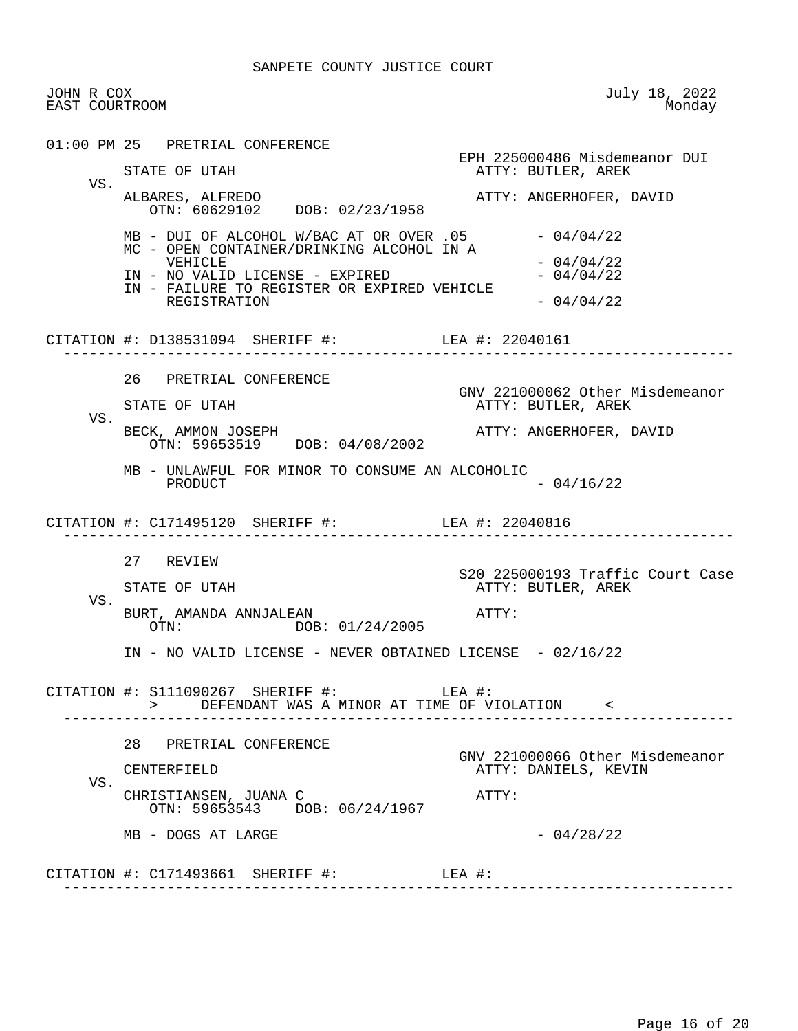JOHN R COX July 18, 2022 EAST COURTROOM 01:00 PM 25 PRETRIAL CONFERENCE EPH 225000486 Misdemeanor DUI<br>
EPH 225000486 Misdemeanor DUI<br>
ATTY: BUTLER, AREK ATTY: BUTLER, AREK VS. ALBARES, ALFREDO **ATTY: ANGERHOFER**, DAVID OTN: 60629102 DOB: 02/23/1958  $MB - DUI OF ALCOHOL W/BAC AT OR OVER .05 - 04/04/22$  MC - OPEN CONTAINER/DRINKING ALCOHOL IN A  $-04/04/22$ <br> $-04/04/22$ IN - NO VALID LICENSE - EXPIRED IN - FAILURE TO REGISTER OR EXPIRED VEHICLE REGISTRATION  $-04/04/22$  CITATION #: D138531094 SHERIFF #: LEA #: 22040161 ------------------------------------------------------------------------------ 26 PRETRIAL CONFERENCE GNV 221000062 Other Misdemeanor<br>GNV 221000062 Other Misdemeanor<br>ATTY: BUTLER, AREK ATTY: BUTLER, AREK VS. BECK, AMMON JOSEPH **ATTY: ANGERHOFER, DAVID**  OTN: 59653519 DOB: 04/08/2002 MB - UNLAWFUL FOR MINOR TO CONSUME AN ALCOHOLIC PRODUCT  $- 04/16/22$  CITATION #: C171495120 SHERIFF #: LEA #: 22040816 ------------------------------------------------------------------------------ 27 REVIEW STATE OF UTAH SERVICE SOF STATE OF UTAH STATE OF UTAH STATE STATE OF UTAH ATTY: BUTLER, AREK VS. BURT, AMANDA ANNJALEAN **ATTY:** OTN: DOB: 01/24/2005 IN - NO VALID LICENSE - NEVER OBTAINED LICENSE - 02/16/22 CITATION #: S111090267 SHERIFF #: LEA #: > DEFENDANT WAS A MINOR AT TIME OF VIOLATION < ------------------------------------------------------------------------------ 28 PRETRIAL CONFERENCE GNV 221000066 Other Misdemeanor ATTY: DANIELS, KEVIN VS. CHRISTIANSEN, JUANA C<br>
ATTY: OTN: 59653543 DOB: 06/24/1967  $MB - DOGS AT LARGE$  - 04/28/22 CITATION #: C171493661 SHERIFF #: LEA #: ------------------------------------------------------------------------------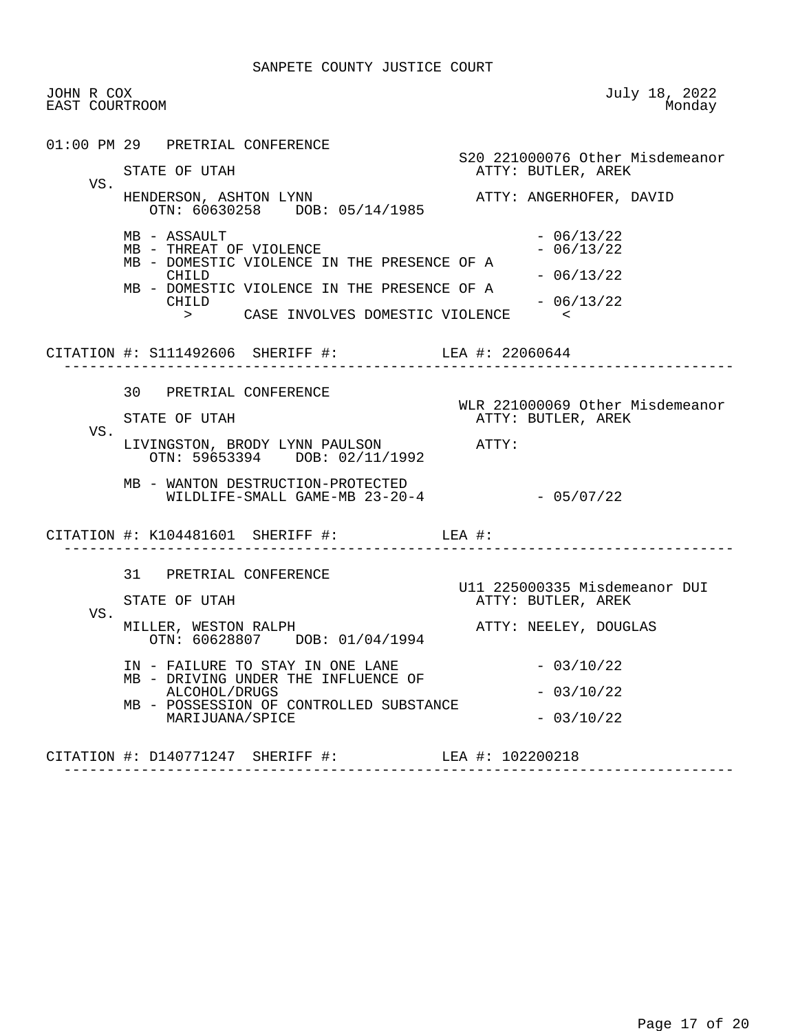| JOHN R COX<br>EAST COURTROOM |                                                                                                                                                                                                                                                         | July 18, 2022<br>Monday                                                                              |
|------------------------------|---------------------------------------------------------------------------------------------------------------------------------------------------------------------------------------------------------------------------------------------------------|------------------------------------------------------------------------------------------------------|
| VS.                          | 01:00 PM 29 PRETRIAL CONFERENCE<br>STATE OF UTAH                                                                                                                                                                                                        | S20 221000076 Other Misdemeanor<br>ATTY: BUTLER, AREK                                                |
|                              | HENDERSON, ASHTON LYNN<br>OTN: 60630258 DOB: 05/14/1985<br>MB - ASSAULT<br>MB - THREAT OF VIOLENCE<br>MB - DOMESTIC VIOLENCE IN THE PRESENCE OF A<br>CHILD<br>MB - DOMESTIC VIOLENCE IN THE PRESENCE OF A<br>CHILD<br>> CASE INVOLVES DOMESTIC VIOLENCE | ATTY: ANGERHOFER, DAVID<br>$-06/13/22$<br>$-06/13/22$<br>$-06/13/22$<br>$-06/13/22$<br>$\sim$ $\sim$ |
|                              | CITATION #: S111492606 SHERIFF #: LEA #: 22060644                                                                                                                                                                                                       |                                                                                                      |
| VS.                          | 30 PRETRIAL CONFERENCE<br>STATE OF UTAH<br>LIVINGSTON, BRODY LYNN PAULSON ATTY:                                                                                                                                                                         | WLR 221000069 Other Misdemeanor<br>ATTY: BUTLER, AREK                                                |
|                              | OTN: 59653394 DOB: 02/11/1992<br>MB - WANTON DESTRUCTION-PROTECTED<br>WILDLIFE-SMALL GAME-MB 23-20-4<br>CITATION #: K104481601 SHERIFF #: LEA #:                                                                                                        | $-05/07/22$                                                                                          |
| VS.                          | 31 PRETRIAL CONFERENCE<br>STATE OF UTAH<br>MILLER, WESTON RALPH                                                                                                                                                                                         | U11 225000335 Misdemeanor DUI<br>ATTY: BUTLER, AREK<br>ATTY: NEELEY, DOUGLAS                         |
|                              | OTN: 60628807 DOB: 01/04/1994<br>IN - FAILURE TO STAY IN ONE LANE<br>MB - DRIVING UNDER THE INFLUENCE OF<br>ALCOHOL/DRUGS<br>MB - POSSESSION OF CONTROLLED SUBSTANCE<br>MARIJUANA/SPICE                                                                 | $-03/10/22$<br>$-03/10/22$<br>$-03/10/22$                                                            |
|                              | CITATION #: D140771247 SHERIFF #: LEA #: 102200218                                                                                                                                                                                                      |                                                                                                      |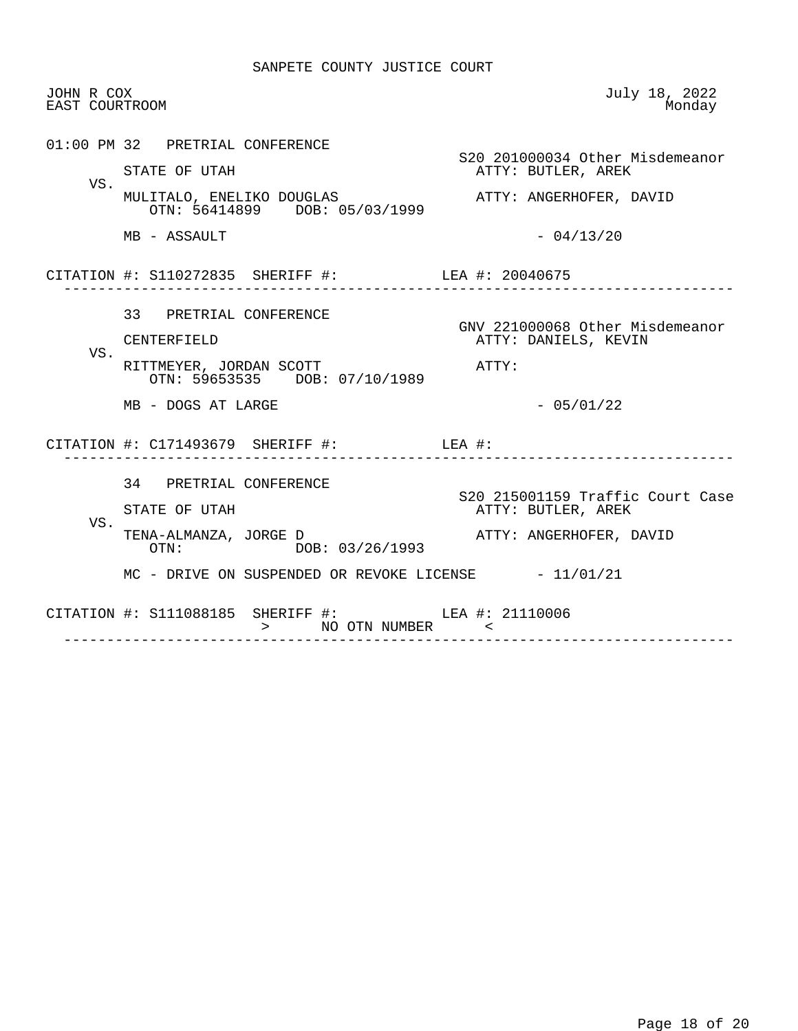| JOHN R COX<br>EAST COURTROOM |                                                                        | July 18, 2022<br>Monday                                 |
|------------------------------|------------------------------------------------------------------------|---------------------------------------------------------|
|                              | 01:00 PM 32 PRETRIAL CONFERENCE<br>STATE OF UTAH                       | S20 201000034 Other Misdemeanor<br>ATTY: BUTLER, AREK   |
| VS.                          | MULITALO, ENELIKO DOUGLAS<br>OTN: 56414899 DOB: 05/03/1999             | ATTY: ANGERHOFER, DAVID                                 |
|                              | MB - ASSAULT                                                           | $-04/13/20$                                             |
|                              | CITATION #: S110272835 SHERIFF #: LEA #: 20040675                      |                                                         |
|                              | 33 PRETRIAL CONFERENCE<br>CENTERFIELD                                  | GNV 221000068 Other Misdemeanor<br>ATTY: DANIELS, KEVIN |
| VS.                          | RITTMEYER, JORDAN SCOTT<br>OTN: 59653535 DOB: 07/10/1989               | ATTY:                                                   |
|                              | MB - DOGS AT LARGE                                                     | $-05/01/22$                                             |
|                              | CITATION $\#$ : C171493679 SHERIFF $\#$ : LEA $\#$ :                   |                                                         |
| VS.                          | 34 PRETRIAL CONFERENCE<br>STATE OF UTAH                                | S20 215001159 Traffic Court Case<br>ATTY: BUTLER, AREK  |
|                              | TENA-ALMANZA, JORGE D<br>OTN: DOB: 03/26/1993                          | ATTY: ANGERHOFER, DAVID                                 |
|                              | $MC$ - DRIVE ON SUSPENDED OR REVOKE LICENSE $-11/01/21$                |                                                         |
|                              | CITATION #: S111088185 SHERIFF #: LEA #: 21110006<br>> NO OTN NUMBER < |                                                         |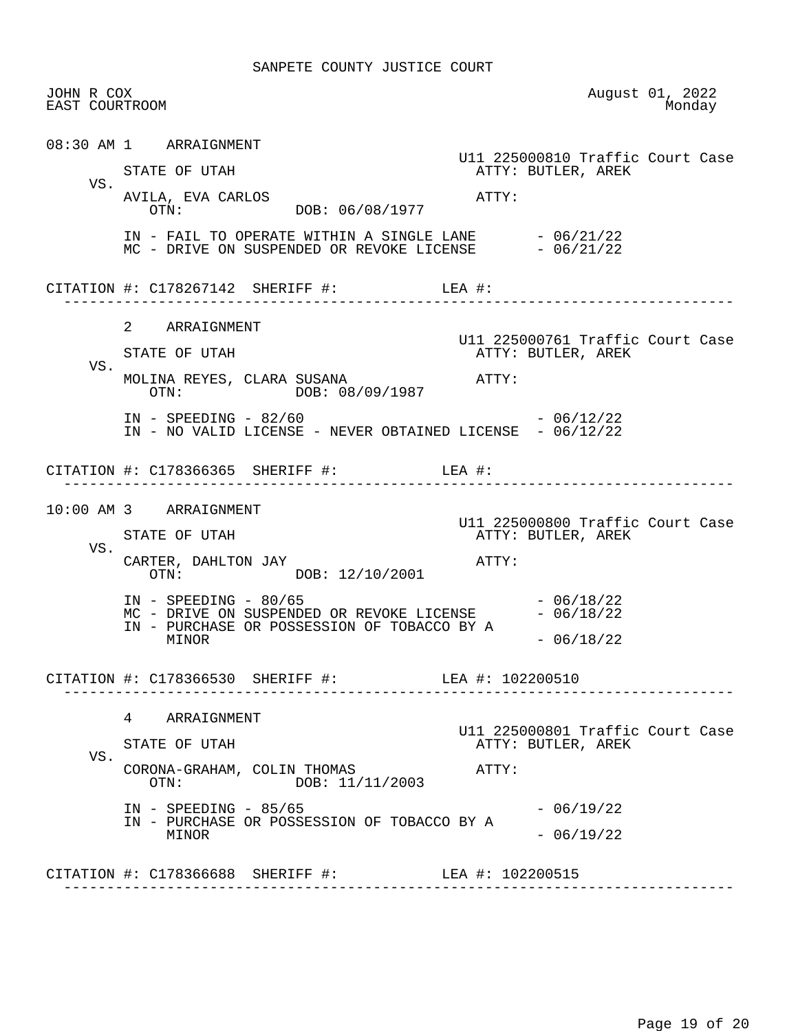|     | JOHN R COX<br>EAST COURTROOM                                                                                  |       |                                                        | August 01, 2022<br>Monday |  |
|-----|---------------------------------------------------------------------------------------------------------------|-------|--------------------------------------------------------|---------------------------|--|
|     | 08:30 AM 1 ARRAIGNMENT                                                                                        |       | U11 225000810 Traffic Court Case                       |                           |  |
| VS. | STATE OF UTAH                                                                                                 |       | ATTY: BUTLER, AREK                                     |                           |  |
|     | AVILA, EVA CARLOS<br>OTN: DOB: 06/08/1977                                                                     | ATTY: |                                                        |                           |  |
|     | IN - FAIL TO OPERATE WITHIN A SINGLE LANE $-06/21/22$<br>MC - DRIVE ON SUSPENDED OR REVOKE LICENSE - 06/21/22 |       |                                                        |                           |  |
|     | CITATION #: $C178267142$ SHERIFF #: LEA #:                                                                    |       |                                                        |                           |  |
|     | 2 ARRAIGNMENT                                                                                                 |       |                                                        |                           |  |
| VS. | STATE OF UTAH                                                                                                 |       | U11 225000761 Traffic Court Case<br>ATTY: BUTLER, AREK |                           |  |
|     | MOLINA REYES, CLARA SUSANA ATTY:<br>OTN: DOB: 08/09/1987                                                      |       |                                                        |                           |  |
|     | $IN - SPEEDING - 82/60$<br>IN - NO VALID LICENSE - NEVER OBTAINED LICENSE - 06/12/22                          |       | $-06/12/22$                                            |                           |  |
|     | CITATION #: C178366365 SHERIFF #: LEA #:                                                                      |       |                                                        |                           |  |
|     | 10:00 AM 3 ARRAIGNMENT                                                                                        |       |                                                        |                           |  |
|     | STATE OF UTAH                                                                                                 |       | U11 225000800 Traffic Court Case<br>ATTY: BUTLER, AREK |                           |  |
| VS. |                                                                                                               |       |                                                        |                           |  |
|     | CARTER, DAHLTON JAY<br>OTN: DOB: 12/10/2001                                                                   | ATTY: |                                                        |                           |  |
|     | $IN - SPEEDING - 80/65$<br>MC - DRIVE ON SUSPENDED OR REVOKE LICENSE $- 06/18/22$                             |       | $-06/18/22$                                            |                           |  |
|     | IN - PURCHASE OR POSSESSION OF TOBACCO BY A<br>MINOR                                                          |       | $-06/18/22$                                            |                           |  |
|     | CITATION #: C178366530 SHERIFF #: LEA #: 102200510                                                            |       |                                                        |                           |  |
|     | ARRAIGNMENT<br>4                                                                                              |       |                                                        |                           |  |
|     | STATE OF UTAH                                                                                                 |       | U11 225000801 Traffic Court Case<br>ATTY: BUTLER, AREK |                           |  |
| VS. | CORONA-GRAHAM, COLIN THOMAS<br>DOB: 11/11/2003<br>OTN:                                                        | ATTY: |                                                        |                           |  |
|     | $IN - SPEEDING - 85/65$                                                                                       |       | $-06/19/22$                                            |                           |  |
|     | IN - PURCHASE OR POSSESSION OF TOBACCO BY A<br>MINOR                                                          |       | $-06/19/22$                                            |                           |  |